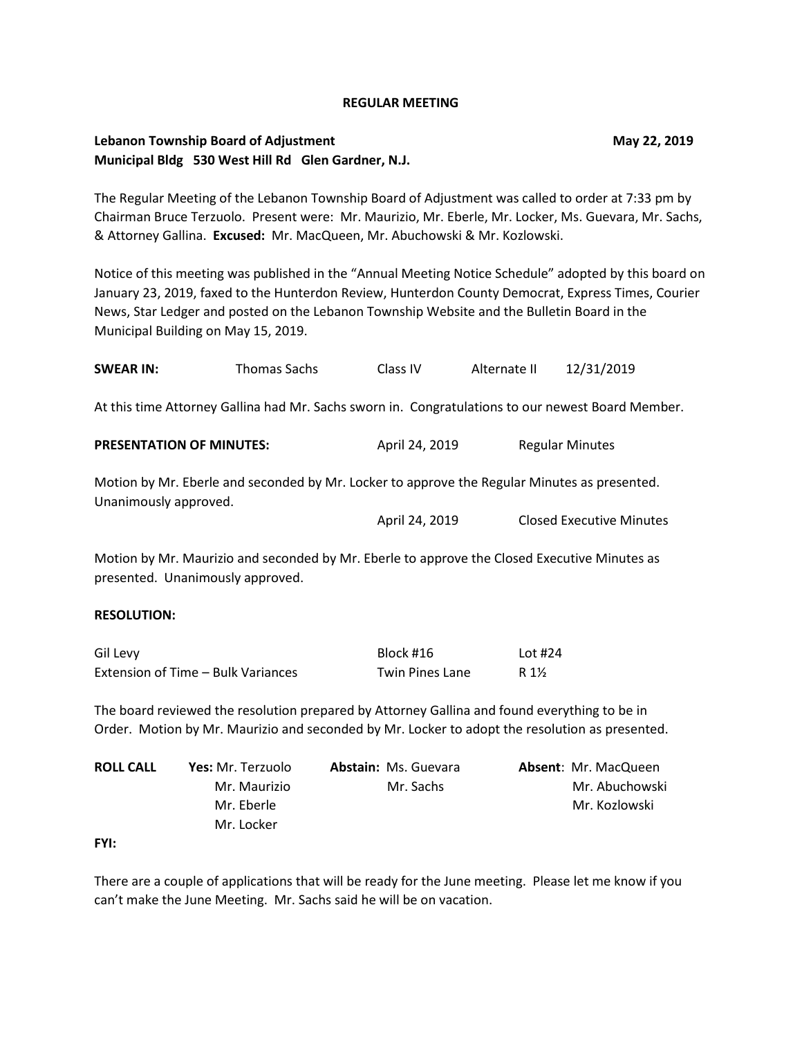### **REGULAR MEETING**

# **Lebanon Township Board of Adjustment May 22, 2019 Municipal Bldg 530 West Hill Rd Glen Gardner, N.J.**

The Regular Meeting of the Lebanon Township Board of Adjustment was called to order at 7:33 pm by Chairman Bruce Terzuolo. Present were: Mr. Maurizio, Mr. Eberle, Mr. Locker, Ms. Guevara, Mr. Sachs, & Attorney Gallina. **Excused:** Mr. MacQueen, Mr. Abuchowski & Mr. Kozlowski.

Notice of this meeting was published in the "Annual Meeting Notice Schedule" adopted by this board on January 23, 2019, faxed to the Hunterdon Review, Hunterdon County Democrat, Express Times, Courier News, Star Ledger and posted on the Lebanon Township Website and the Bulletin Board in the Municipal Building on May 15, 2019.

| <b>SWEAR IN:</b>                                                                                                      | Thomas Sachs | Class IV       | Alternate II | 12/31/2019                      |  |  |
|-----------------------------------------------------------------------------------------------------------------------|--------------|----------------|--------------|---------------------------------|--|--|
| At this time Attorney Gallina had Mr. Sachs sworn in. Congratulations to our newest Board Member.                     |              |                |              |                                 |  |  |
| <b>PRESENTATION OF MINUTES:</b>                                                                                       |              | April 24, 2019 |              | <b>Regular Minutes</b>          |  |  |
| Motion by Mr. Eberle and seconded by Mr. Locker to approve the Regular Minutes as presented.<br>Unanimously approved. |              |                |              |                                 |  |  |
|                                                                                                                       |              | April 24, 2019 |              | <b>Closed Executive Minutes</b> |  |  |

Motion by Mr. Maurizio and seconded by Mr. Eberle to approve the Closed Executive Minutes as presented. Unanimously approved.

### **RESOLUTION:**

| Gil Levy                           | Block #16              | Lot #24 |
|------------------------------------|------------------------|---------|
| Extension of Time – Bulk Variances | <b>Twin Pines Lane</b> | R 1½    |

The board reviewed the resolution prepared by Attorney Gallina and found everything to be in Order. Motion by Mr. Maurizio and seconded by Mr. Locker to adopt the resolution as presented.

| <b>ROLL CALL</b> | <b>Yes:</b> Mr. Terzuolo | <b>Abstain: Ms. Guevara</b> | <b>Absent: Mr. MacQueen</b> |
|------------------|--------------------------|-----------------------------|-----------------------------|
|                  | Mr. Maurizio             | Mr. Sachs                   | Mr. Abuchowski              |
|                  | Mr. Eberle               |                             | Mr. Kozlowski               |
|                  | Mr. Locker               |                             |                             |

**FYI:** 

There are a couple of applications that will be ready for the June meeting. Please let me know if you can't make the June Meeting. Mr. Sachs said he will be on vacation.